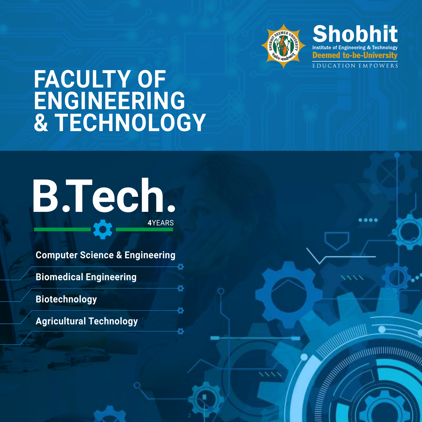

**Shobhit** Institute of Engineering & Technology **Deemed to-be-University** 

**EDUCATION EMPOWERS** 

**FACULTY OF ENGINEERING & TECHNOLOGY**

# **B.Tech. 4**YEARS

**Computer Science & Engineering**

8

ö

Õ

8

**Biomedical Engineering**

**Biotechnology**

**Agricultural Technology**

....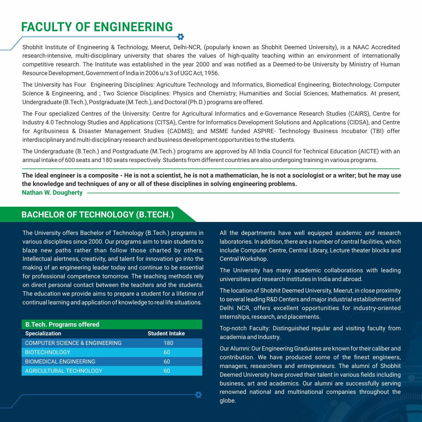# **FACULTY OF ENGINEERING**

Shobhit Institute of Engineering & Technology, Meerut, Delhi-NCR, (popularly known as Shobhit Deemed University), is a NAAC Accredited research-intensive, multi-disciplinary university that shares the values of high-quality teaching within an environment of internationally competitive research. The Institute was established in the year 2000 and was notified as a Deemed-to-be University by Ministry of Human Resource Development, Government of India in 2006 u/s 3 of UGC Act, 1956.

The University has Four Engineering Disciplines: Agriculture Technology and Informatics, Biomedical Engineering, Biotechnology, Computer Science & Engineering, and ; Two Science Disciplines: Physics and Chemistry; Humanities and Social Sciences; Mathematics. At present, Undergraduate (B.Tech.), Postgraduate (M.Tech.), and Doctoral (Ph.D.) programs are offered.

The Four specialized Centres of the University: Centre for Agricultural Informatics and e-Governance Research Studies (CAIRS), Centre for Industry 4.0 Technology Studies and Applications (CITSA), Centre for Informatics Development Solutions and Applications (CIDSA), and Centre for Agribusiness & Disaster Management Studies (CADMS); and MSME funded ASPIRE- Technology Business Incubator (TBI) offer interdisciplinary and multi-disciplinary research and business development opportunities to the students.

The Undergraduate (B.Tech.) and Postgraduate (M.Tech.) programs are approved by All India Council for Technical Education (AICTE) with an annual intake of 600 seats and 180 seats respectively. Students from different countries are also undergoing training in various programs.

**The ideal engineer is a composite - He is not a scientist, he is not a mathematician, he is not a sociologist or a writer; but he may use the knowledge and techniques of any or all of these disciplines in solving engineering problems. Nathan W. Dougherty**

Õ

### **BACHELOR OF TECHNOLOGY (B.TECH.)**

The University offers Bachelor of Technology (B.Tech.) programs in various disciplines since 2000. Our programs aim to train students to blaze new paths rather than follow those charted by others. Intellectual alertness, creativity, and talent for innovation go into the making of an engineering leader today and continue to be essential for professional competence tomorrow. The teaching methods rely on direct personal contact between the teachers and the students. The education we provide aims to prepare a student for a lifetime of continual learning and application of knowledge to real life situations.

| <b>B.Tech. Programs offered</b>           |                       |  |  |
|-------------------------------------------|-----------------------|--|--|
| <b>Specialization</b>                     | <b>Student Intake</b> |  |  |
| <b>COMPUTER SCIENCE &amp; ENGINEERING</b> | 180                   |  |  |
| <b>BIOTECHNOLOGY</b>                      | 60                    |  |  |
| <b>BIOMEDICAL ENGINEERING</b>             | 60                    |  |  |
| AGRICULTURAL TECHNOLOGY                   | 60                    |  |  |

All the departments have well equipped academic and research laboratories. In addition, there are a number of central facilities, which include Computer Centre, Central Library, Lecture theater blocks and Central Workshop.

The University has many academic collaborations with leading universities and research institutes in India and abroad.

The location of Shobhit Deemed University, Meerut, in close proximity to several leading R&D Centers and major industrial establishments of Delhi NCR, offers excellent opportunities for industry-oriented internships, research, and placements.

Top-notch Faculty: Distinguished regular and visiting faculty from academia and Industry.

Our Alumni: Our Engineering Graduates are known for their caliber and contribution. We have produced some of the finest engineers, managers, researchers and entrepreneurs. The alumni of Shobhit Deemed University have proved their talent in various fields including business, art and academics. Our alumni are successfully serving renowned national and multinational companies throughout the globe.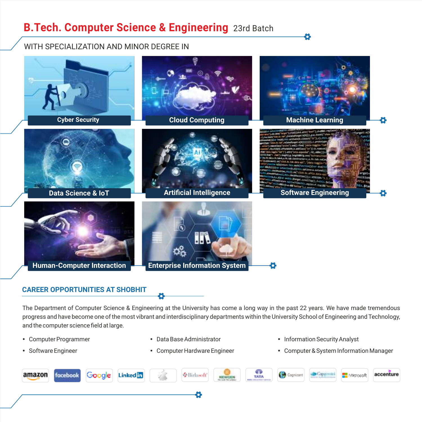# **B.Tech. Computer Science & Engineering** 23rd Batch

### WITH SPECIALIZATION AND MINOR DEGREE IN



### **CAREER OPPORTUNITIES AT SHOBHIT**

The Department of Computer Science & Engineering at the University has come a long way in the past 22 years. We have made tremendous progress and have become one of the most vibrant and interdisciplinary departments within the University School of Engineering and Technology, and the computer science field at large.

- Computer Programmer
- Software Engineer
- Data Base Administrator
- Computer Hardware Engineer
- Information Security Analyst
- Computer & System Information Manager

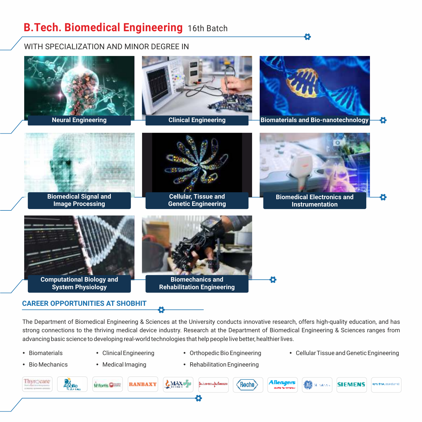# **B.Tech. Biomedical Engineering** 16th Batch

WITH SPECIALIZATION AND MINOR DEGREE IN



The Department of Biomedical Engineering & Sciences at the University conducts innovative research, offers high-quality education, and has strong connections to the thriving medical device industry. Research at the Department of Biomedical Engineering & Sciences ranges from advancing basic science to developing real-world technologies that help people live better, healthier lives.

- Biomaterials
- 
- Orthopedic Bio Engineering
- Clinical Engineering Orthopedic Bio Engineering Cellular Tissue and Genetic Engineering

Õ

- Bio Mechanics
- Medical Imaging
- Rehabilitation Engineering

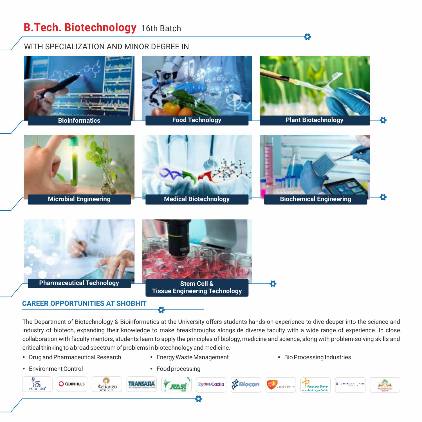# **B.Tech. Biotechnology** 16th Batch

## WITH SPECIALIZATION AND MINOR DEGREE IN



### **CAREER OPPORTUNITIES AT SHOBHIT**

The Department of Biotechnology & Bioinformatics at the University offers students hands-on experience to dive deeper into the science and industry of biotech, expanding their knowledge to make breakthroughs alongside diverse faculty with a wide range of experience. In close collaboration with faculty mentors, students learn to apply the principles of biology, medicine and science, along with problem-solving skills and critical thinking to a broad spectrum of problems in biotechnology and medicine.

- Drug and Pharmaceutical Research
- Environment Control

• Food processing

• Energy Waste Management

• Bio Processing Industries

Õ

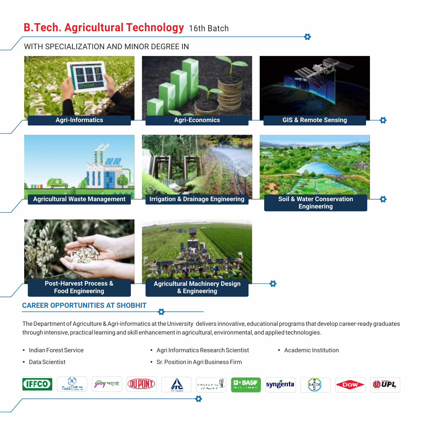# **B.Tech. Agricultural Technology** 16th Batch

WITH SPECIALIZATION AND MINOR DEGREE IN



The Department of Agriculture & Agri-informatics at the University delivers innovative, educational programs that develop career-ready graduates through intensive, practical learning and skill enhancement in agricultural, environmental, and applied technologies.

- Indian Forest Service
- Data Scientist
- Agri Informatics Research Scientist • Sr. Position in Agri Business Firm
- **•** Academic Institution

Õ

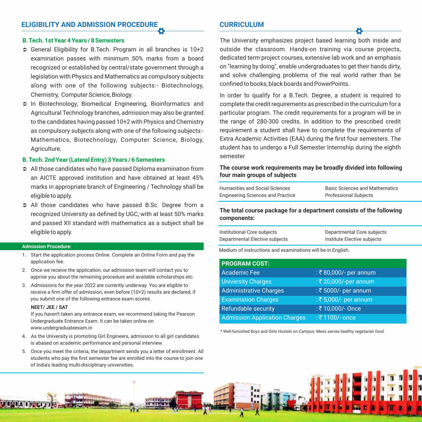#### **B. Tech. 1st Year 4 Years / 8 Semesters**

- Ü General Eligibility for B.Tech. Program in all branches is 10+2 examination passes with minimum 50% marks from a board recognized or established by central/state government through a legislation with Physics and Mathematics as compulsory subjects along with one of the following subjects:- Biotechnology, Chemistry, Computer Science, Biology.
- Ü In Biotechnology, Biomedical Engineering, Bioinformatics and Agricultural Technology branches, admission may also be granted to the candidates having passed 10+2 with Physics and Chemistry as compulsory subjects along with one of the following subjects:- Mathematics, Biotechnology, Computer Science, Biology, Agriculture.

#### **B. Tech. 2nd Year (Lateral Entry) 3 Years / 6 Semesters**

- $\supset$  All those candidates who have passed Diploma examination from an AICTE approved institution and have obtained at least 45% marks in appropriate branch of Engineering / Technology shall be eligible to apply.
- Ü All those candidates who have passed B.Sc. Degree from a recognized University as defined by UGC, with at least 50% marks and passed XII standard with mathematics as a subject shall be eligible to apply.

#### **Admission Procedure:**

- 1. Start the application process Online. Complete an Online Form and pay the application fee.
- 2. Once we receive the application, our admission team will contact you to apprise you about the remaining procedure and available scholarships etc.
- 3. Admissions for the year 2022 are currently underway. You are eligible to receive a firm offer of admission, even before (10+2) results are declared, if you submit one of the following entrance exam scores:

#### **NEET/ JEE / SAT**

If you haven't taken any entrance exam, we recommend taking the Pearson Undergraduate Entrance Exam. It can be taken online on www.undergraduateexam.in

- 4. As the University is promoting Girl Engineers, admission to all girl candidates is abased on academic performance and personal interview.
- 5. Once you meet the criteria, the department sends you a letter of enrollment. All students who pay the first semester fee are enrolled into the course to join one of India's leading multi-disciplinary universities.

#### **CURRICULUM**

The University emphasizes project based learning both inside and outside the classroom. Hands-on training via course projects, dedicated term project courses, extensive lab work and an emphasis on "learning by doing", enable undergraduates to get their hands dirty, and solve challenging problems of the real world rather than be confined to books, black boards and PowerPoints.

In order to qualify for a B.Tech. Degree, a student is required to complete the credit requirements as prescribed in the curriculum for a particular program. The credit requirements for a program will be in the range of 280-300 credits. In addition to the prescribed credit requirement a student shall have to complete the requirements of Extra Academic Activities (EAA) during the first four semesters. The student has to undergo a Full Semester Internship during the eighth semester

#### **The course work requirements may be broadly divided into following four main groups of subjects**

| Humanities and Social Sciences           | <b>Basic Sciences and Mathematics</b> |
|------------------------------------------|---------------------------------------|
| <b>Engineering Sciences and Practice</b> | <b>Professional Subjects</b>          |

**The total course package for a department consists of the following components:**

| Institutional Core subjects    | Departmental Core subjects  |
|--------------------------------|-----------------------------|
| Departmental Elective subjects | Institute Elective subjects |

Medium of instructions and examinations will be in English.

| <b>PROGRAM COST:</b>                 |                       |
|--------------------------------------|-----------------------|
| <b>Academic Fee</b>                  | : ₹80,000/- per annum |
| <b>University Charges</b>            | : ₹ 20,000/-per annum |
| Administrative Charges               | : ₹ 5000/- per annum  |
| <b>Examination Charges</b>           | : ₹ 5,000/- per annum |
| <b>Refundable security</b>           | : ₹10,000/- Once      |
| <b>Admission Application Charges</b> | : ₹1100/- once        |

\* Well-furnished Boys and Girls Hostels on Campus. Mess serves healthy vegetarian food.